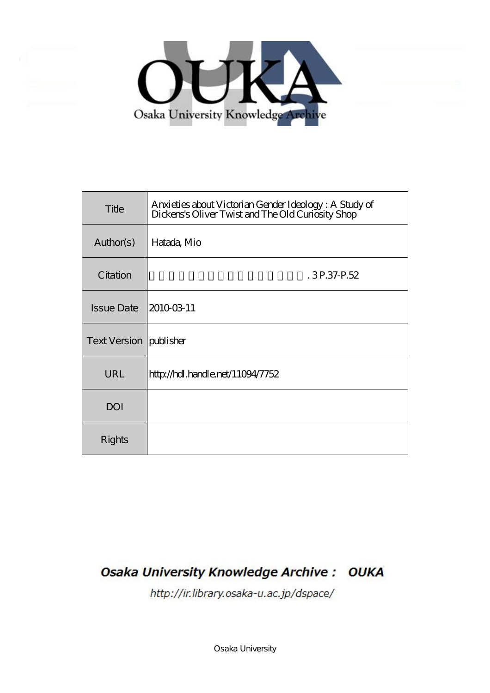

| Title                    | Anxieties about Victorian Gender Ideology: A Study of<br>Dickens's Oliver Twist and The Old Curiosity Shop |
|--------------------------|------------------------------------------------------------------------------------------------------------|
| Author(s)                | Hatada, Mio                                                                                                |
| Citation                 | .3P.37P.52                                                                                                 |
| <b>Issue Date</b>        | 20100311                                                                                                   |
| Text Version   publisher |                                                                                                            |
| URL                      | http://hdl.handle.net/11094/7752                                                                           |
| <b>DOI</b>               |                                                                                                            |
| Rights                   |                                                                                                            |

# **Osaka University Knowledge Archive: OUKA**

http://ir.library.osaka-u.ac.jp/dspace/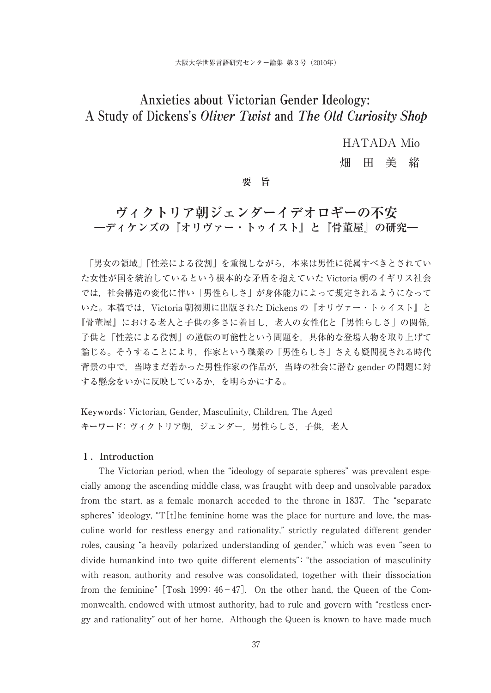# **Anxieties about Victorian Gender Ideology: A Study of Dickens's Oliver Twist and The Old Curiosity Shop**

HATADA Mio

畑 田 美 緒

### **要 旨**

# **ヴィクトリア朝ジェンダーイデオロギーの不安 ―ディケンズの『オリヴァー・トゥイスト』と『骨董屋』の研究―**

「男女の領域」「性差による役割」を重視しながら,本来は男性に従属すべきとされてい た女性が国を統治しているという根本的な矛盾を抱えていた Victoria 朝のイギリス社会 では,社会構造の変化に伴い「男性らしさ」が身体能力によって規定されるようになって いた。本稿では,Victoria 朝初期に出版された Dickens の『オリヴァー・トゥイスト』と 『骨董屋』における老人と子供の多さに着目し,老人の女性化と「男性らしさ」の関係, 子供と「性差による役割」の逆転の可能性という問題を,具体的な登場人物を取り上げて 論じる。そうすることにより,作家という職業の「男性らしさ」さえも疑問視される時代 背景の中で,当時まだ若かった男性作家の作品が,当時の社会に潜む gender の問題に対 する懸念をいかに反映しているか,を明らかにする。

**Keywords**: Victorian, Gender, Masculinity, Children, The Aged **キーワード**:ヴィクトリア朝,ジェンダー,男性らしさ,子供,老人

#### **1.Introduction**

The Victorian period, when the "ideology of separate spheres" was prevalent especially among the ascending middle class, was fraught with deep and unsolvable paradox from the start, as a female monarch acceded to the throne in 1837. The "separate spheres" ideology, " $T[t]$ he feminine home was the place for nurture and love, the masculine world for restless energy and rationality," strictly regulated different gender roles, causing "a heavily polarized understanding of gender," which was even "seen to divide humankind into two quite different elements": "the association of masculinity with reason, authority and resolve was consolidated, together with their dissociation from the feminine"  $[Tosh 1999: 46-47]$ . On the other hand, the Queen of the Commonwealth, endowed with utmost authority, had to rule and govern with "restless energy and rationality" out of her home. Although the Queen is known to have made much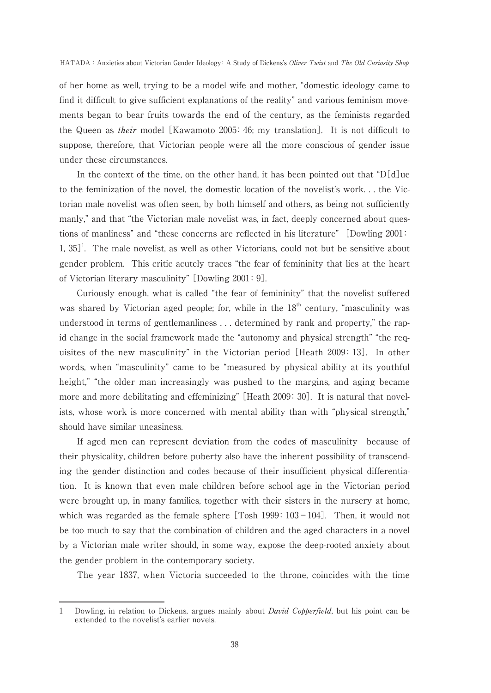of her home as well, trying to be a model wife and mother, "domestic ideology came to find it difficult to give sufficient explanations of the reality" and various feminism movements began to bear fruits towards the end of the century, as the feminists regarded the Queen as their model [Kawamoto 2005:46; my translation]. It is not difficult to suppose, therefore, that Victorian people were all the more conscious of gender issue under these circumstances.

In the context of the time, on the other hand, it has been pointed out that "D[d]ue to the feminization of the novel, the domestic location of the novelist's work. . . the Victorian male novelist was often seen, by both himself and others, as being not sufficiently manly," and that "the Victorian male novelist was, in fact, deeply concerned about questions of manliness" and "these concerns are reflected in his literature" [Dowling 2001:  $1, 35$ <sup> $1$ </sup>. The male novelist, as well as other Victorians, could not but be sensitive about gender problem. This critic acutely traces "the fear of femininity that lies at the heart of Victorian literary masculinity" [Dowling 2001:9].

Curiously enough, what is called "the fear of femininity" that the novelist suffered was shared by Victorian aged people; for, while in the 18<sup>th</sup> century, "masculinity was understood in terms of gentlemanliness . . . determined by rank and property," the rapid change in the social framework made the "autonomy and physical strength" "the requisites of the new masculinity" in the Victorian period [Heath 2009:13]. In other words, when "masculinity" came to be "measured by physical ability at its youthful height," "the older man increasingly was pushed to the margins, and aging became more and more debilitating and effeminizing" [Heath 2009:30]. It is natural that novelists, whose work is more concerned with mental ability than with "physical strength," should have similar uneasiness.

If aged men can represent deviation from the codes of masculinity because of their physicality, children before puberty also have the inherent possibility of transcending the gender distinction and codes because of their insufficient physical differentiation. It is known that even male children before school age in the Victorian period were brought up, in many families, together with their sisters in the nursery at home, which was regarded as the female sphere  $[Tosh 1999:103-104]$ . Then, it would not be too much to say that the combination of children and the aged characters in a novel by a Victorian male writer should, in some way, expose the deep-rooted anxiety about the gender problem in the contemporary society.

The year 1837, when Victoria succeeded to the throne, coincides with the time

<sup>1</sup> Dowling, in relation to Dickens, argues mainly about *David Copperfield*, but his point can be extended to the novelist's earlier novels.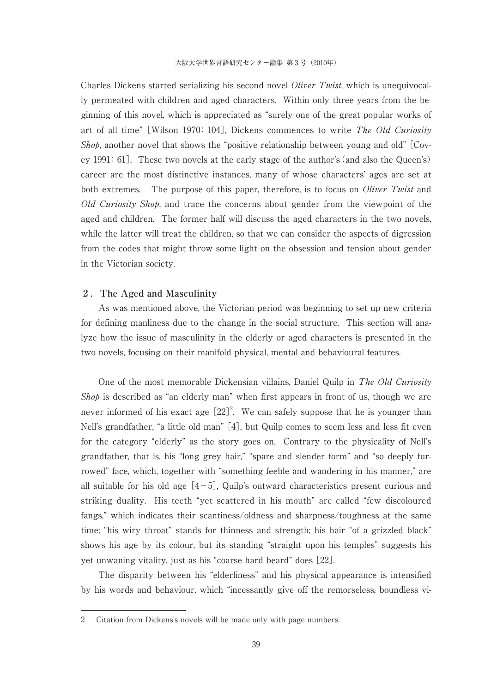Charles Dickens started serializing his second novel *Oliver Twist*, which is unequivocally permeated with children and aged characters. Within only three years from the beginning of this novel, which is appreciated as "surely one of the great popular works of art of all time" [Wilson 1970: 104], Dickens commences to write The Old Curiosity *Shop*, another novel that shows the "positive relationship between young and old"  $\sim$  [Covey 1991:61]. These two novels at the early stage of the author's (and also the Queen's) career are the most distinctive instances, many of whose characters' ages are set at both extremes. The purpose of this paper, therefore, is to focus on *Oliver Twist* and Old Curiosity Shop, and trace the concerns about gender from the viewpoint of the aged and children. The former half will discuss the aged characters in the two novels, while the latter will treat the children, so that we can consider the aspects of digression from the codes that might throw some light on the obsession and tension about gender in the Victorian society.

#### **2.The Aged and Masculinity**

As was mentioned above, the Victorian period was beginning to set up new criteria for defining manliness due to the change in the social structure. This section will analyze how the issue of masculinity in the elderly or aged characters is presented in the two novels, focusing on their manifold physical, mental and behavioural features.

One of the most memorable Dickensian villains, Daniel Quilp in The Old Curiosity Shop is described as "an elderly man" when first appears in front of us, though we are never informed of his exact age  $[22]^2$ . We can safely suppose that he is younger than Nell's grandfather, "a little old man" [4], but Quilp comes to seem less and less fit even for the category "elderly" as the story goes on. Contrary to the physicality of Nell's grandfather, that is, his "long grey hair," "spare and slender form" and "so deeply furrowed" face, which, together with "something feeble and wandering in his manner," are all suitable for his old age  $[4-5]$ , Quilp's outward characteristics present curious and striking duality. His teeth "yet scattered in his mouth" are called "few discoloured fangs," which indicates their scantiness/oldness and sharpness/toughness at the same time; "his wiry throat" stands for thinness and strength; his hair "of a grizzled black" shows his age by its colour, but its standing "straight upon his temples" suggests his yet unwaning vitality, just as his "coarse hard beard" does [22].

The disparity between his "elderliness" and his physical appearance is intensified by his words and behaviour, which "incessantly give off the remorseless, boundless vi-

<sup>2</sup> Citation from Dickens's novels will be made only with page numbers.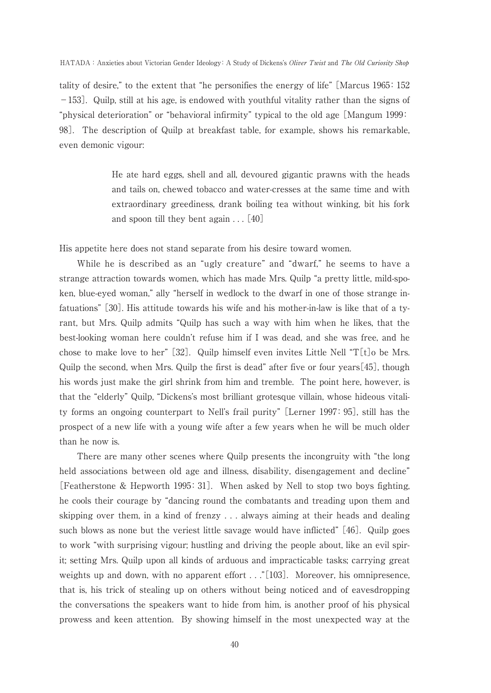tality of desire," to the extent that "he personifies the energy of life" [Marcus 1965:152 -153]. Quilp, still at his age, is endowed with youthful vitality rather than the signs of "physical deterioration" or "behavioral infirmity" typical to the old age [Mangum 1999: 98]. The description of Quilp at breakfast table, for example, shows his remarkable, even demonic vigour:

> He ate hard eggs, shell and all, devoured gigantic prawns with the heads and tails on, chewed tobacco and water-cresses at the same time and with extraordinary greediness, drank boiling tea without winking, bit his fork and spoon till they bent again . . . [40]

His appetite here does not stand separate from his desire toward women.

While he is described as an "ugly creature" and "dwarf," he seems to have a strange attraction towards women, which has made Mrs. Quilp "a pretty little, mild-spoken, blue-eyed woman," ally "herself in wedlock to the dwarf in one of those strange infatuations" [30]. His attitude towards his wife and his mother-in-law is like that of a tyrant, but Mrs. Quilp admits "Quilp has such a way with him when he likes, that the best-looking woman here couldn't refuse him if I was dead, and she was free, and he chose to make love to her" [32]. Quilp himself even invites Little Nell "T[t] $\alpha$  be Mrs. Quilp the second, when Mrs. Quilp the first is dead" after five or four years $[45]$ , though his words just make the girl shrink from him and tremble. The point here, however, is that the "elderly" Quilp, "Dickens's most brilliant grotesque villain, whose hideous vitality forms an ongoing counterpart to Nell's frail purity" [Lerner 1997:95], still has the prospect of a new life with a young wife after a few years when he will be much older than he now is.

There are many other scenes where Quilp presents the incongruity with "the long held associations between old age and illness, disability, disengagement and decline" [Featherstone & Hepworth 1995:31]. When asked by Nell to stop two boys fighting, he cools their courage by "dancing round the combatants and treading upon them and skipping over them, in a kind of frenzy . . . always aiming at their heads and dealing such blows as none but the veriest little savage would have inflicted" [46]. Quilp goes to work "with surprising vigour; hustling and driving the people about, like an evil spirit; setting Mrs. Quilp upon all kinds of arduous and impracticable tasks; carrying great weights up and down, with no apparent effort . . . "[103]. Moreover, his omnipresence, that is, his trick of stealing up on others without being noticed and of eavesdropping the conversations the speakers want to hide from him, is another proof of his physical prowess and keen attention. By showing himself in the most unexpected way at the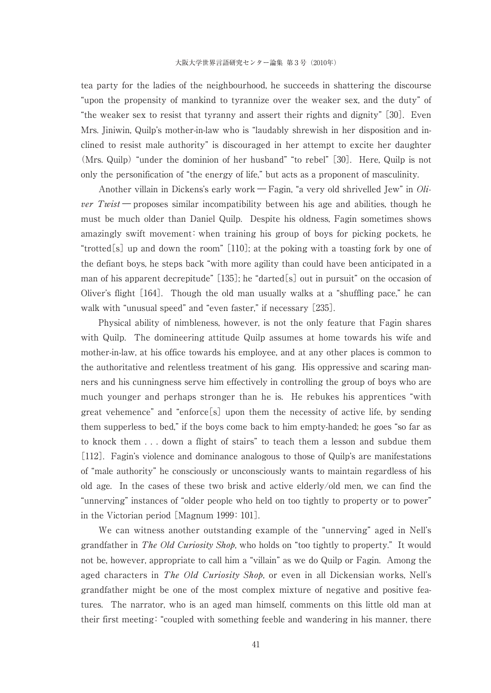tea party for the ladies of the neighbourhood, he succeeds in shattering the discourse "upon the propensity of mankind to tyrannize over the weaker sex, and the duty" of "the weaker sex to resist that tyranny and assert their rights and dignity" [30]. Even Mrs. Jiniwin, Quilp's mother-in-law who is "laudably shrewish in her disposition and inclined to resist male authority" is discouraged in her attempt to excite her daughter (Mrs. Quilp) "under the dominion of her husband" "to rebel" [30]. Here, Quilp is not only the personification of "the energy of life," but acts as a proponent of masculinity.

Another villain in Dickens's early work ― Fagin, "a very old shrivelled Jew" in Oli*ver Twist* — proposes similar incompatibility between his age and abilities, though he must be much older than Daniel Quilp. Despite his oldness, Fagin sometimes shows amazingly swift movement:when training his group of boys for picking pockets, he "trotted[s] up and down the room" [110]; at the poking with a toasting fork by one of the defiant boys, he steps back "with more agility than could have been anticipated in a man of his apparent decrepitude" [135]; he "darted[s] out in pursuit" on the occasion of Oliver's flight [164]. Though the old man usually walks at a "shuffling pace," he can walk with "unusual speed" and "even faster," if necessary [235].

Physical ability of nimbleness, however, is not the only feature that Fagin shares with Quilp. The domineering attitude Quilp assumes at home towards his wife and mother-in-law, at his office towards his employee, and at any other places is common to the authoritative and relentless treatment of his gang. His oppressive and scaring manners and his cunningness serve him effectively in controlling the group of boys who are much younger and perhaps stronger than he is. He rebukes his apprentices "with great vehemence" and "enforce[s] upon them the necessity of active life, by sending them supperless to bed," if the boys come back to him empty-handed; he goes "so far as to knock them . . . down a flight of stairs" to teach them a lesson and subdue them [112]. Fagin's violence and dominance analogous to those of Quilp's are manifestations of "male authority" he consciously or unconsciously wants to maintain regardless of his old age. In the cases of these two brisk and active elderly/old men, we can find the "unnerving" instances of "older people who held on too tightly to property or to power" in the Victorian period [Magnum 1999:101].

We can witness another outstanding example of the "unnerving" aged in Nell's grandfather in The Old Curiosity Shop, who holds on "too tightly to property." It would not be, however, appropriate to call him a "villain" as we do Quilp or Fagin. Among the aged characters in The Old Curiosity Shop, or even in all Dickensian works, Nell's grandfather might be one of the most complex mixture of negative and positive features. The narrator, who is an aged man himself, comments on this little old man at their first meeting:"coupled with something feeble and wandering in his manner, there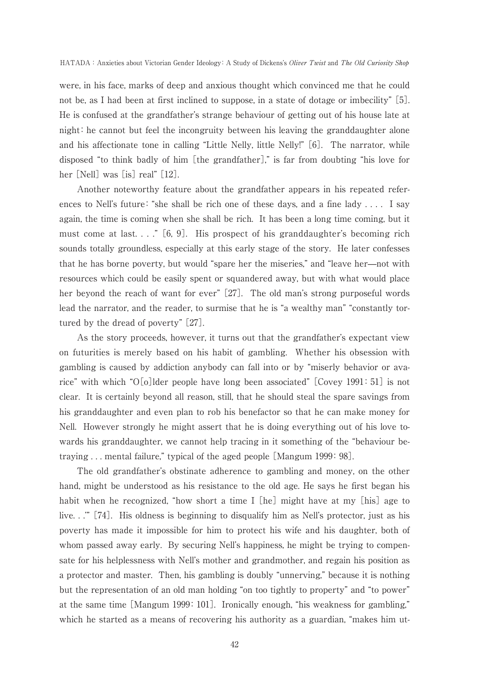were, in his face, marks of deep and anxious thought which convinced me that he could not be, as I had been at first inclined to suppose, in a state of dotage or imbecility" [5]. He is confused at the grandfather's strange behaviour of getting out of his house late at night:he cannot but feel the incongruity between his leaving the granddaughter alone and his affectionate tone in calling "Little Nelly, little Nelly!" [6]. The narrator, while disposed "to think badly of him [the grandfather]," is far from doubting "his love for her [Nell] was [is] real" [12].

Another noteworthy feature about the grandfather appears in his repeated references to Nell's future: "she shall be rich one of these days, and a fine lady . . . . I say again, the time is coming when she shall be rich. It has been a long time coming, but it must come at last...."  $[6, 9]$ . His prospect of his granddaughter's becoming rich sounds totally groundless, especially at this early stage of the story. He later confesses that he has borne poverty, but would "spare her the miseries," and "leave her̶not with resources which could be easily spent or squandered away, but with what would place her beyond the reach of want for ever" [27]. The old man's strong purposeful words lead the narrator, and the reader, to surmise that he is "a wealthy man" "constantly tortured by the dread of poverty" [27].

As the story proceeds, however, it turns out that the grandfather's expectant view on futurities is merely based on his habit of gambling. Whether his obsession with gambling is caused by addiction anybody can fall into or by "miserly behavior or avarice" with which "O[o]lder people have long been associated" [Covey 1991:51] is not clear. It is certainly beyond all reason, still, that he should steal the spare savings from his granddaughter and even plan to rob his benefactor so that he can make money for Nell. However strongly he might assert that he is doing everything out of his love towards his granddaughter, we cannot help tracing in it something of the "behaviour betraying ... mental failure," typical of the aged people [Mangum 1999: 98].

The old grandfather's obstinate adherence to gambling and money, on the other hand, might be understood as his resistance to the old age. He says he first began his habit when he recognized, "how short a time I [he] might have at my [his] age to live. . .'" [74]. His oldness is beginning to disqualify him as Nell's protector, just as his poverty has made it impossible for him to protect his wife and his daughter, both of whom passed away early. By securing Nell's happiness, he might be trying to compensate for his helplessness with Nell's mother and grandmother, and regain his position as a protector and master. Then, his gambling is doubly "unnerving," because it is nothing but the representation of an old man holding "on too tightly to property" and "to power" at the same time [Mangum 1999:101]. Ironically enough, "his weakness for gambling," which he started as a means of recovering his authority as a guardian, "makes him ut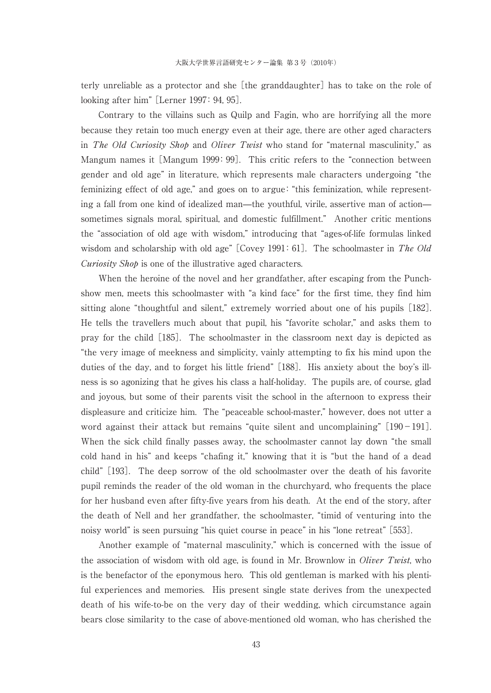terly unreliable as a protector and she [the granddaughter] has to take on the role of looking after him" [Lerner 1997: 94, 95].

Contrary to the villains such as Quilp and Fagin, who are horrifying all the more because they retain too much energy even at their age, there are other aged characters in *The Old Curiosity Shop* and *Oliver Twist* who stand for "maternal masculinity," as Mangum names it [Mangum 1999:99]. This critic refers to the "connection between gender and old age" in literature, which represents male characters undergoing "the feminizing effect of old age," and goes on to argue:"this feminization, while representing a fall from one kind of idealized man—the youthful, virile, assertive man of action sometimes signals moral, spiritual, and domestic fulfillment." Another critic mentions the "association of old age with wisdom," introducing that "ages-of-life formulas linked wisdom and scholarship with old age" [Covey 1991: 61]. The schoolmaster in The Old Curiosity Shop is one of the illustrative aged characters.

When the heroine of the novel and her grandfather, after escaping from the Punchshow men, meets this schoolmaster with "a kind face" for the first time, they find him sitting alone "thoughtful and silent," extremely worried about one of his pupils [182]. He tells the travellers much about that pupil, his "favorite scholar," and asks them to pray for the child [185]. The schoolmaster in the classroom next day is depicted as "the very image of meekness and simplicity, vainly attempting to fix his mind upon the duties of the day, and to forget his little friend" [188]. His anxiety about the boy's illness is so agonizing that he gives his class a half-holiday. The pupils are, of course, glad and joyous, but some of their parents visit the school in the afternoon to express their displeasure and criticize him. The "peaceable school-master," however, does not utter a word against their attack but remains "quite silent and uncomplaining"  $[190-191]$ . When the sick child finally passes away, the schoolmaster cannot lay down "the small cold hand in his" and keeps "chafing it," knowing that it is "but the hand of a dead child" [193]. The deep sorrow of the old schoolmaster over the death of his favorite pupil reminds the reader of the old woman in the churchyard, who frequents the place for her husband even after fifty-five years from his death. At the end of the story, after the death of Nell and her grandfather, the schoolmaster, "timid of venturing into the noisy world" is seen pursuing "his quiet course in peace" in his "lone retreat" [553].

Another example of "maternal masculinity," which is concerned with the issue of the association of wisdom with old age, is found in Mr. Brownlow in *Oliver Twist*, who is the benefactor of the eponymous hero. This old gentleman is marked with his plentiful experiences and memories. His present single state derives from the unexpected death of his wife-to-be on the very day of their wedding, which circumstance again bears close similarity to the case of above-mentioned old woman, who has cherished the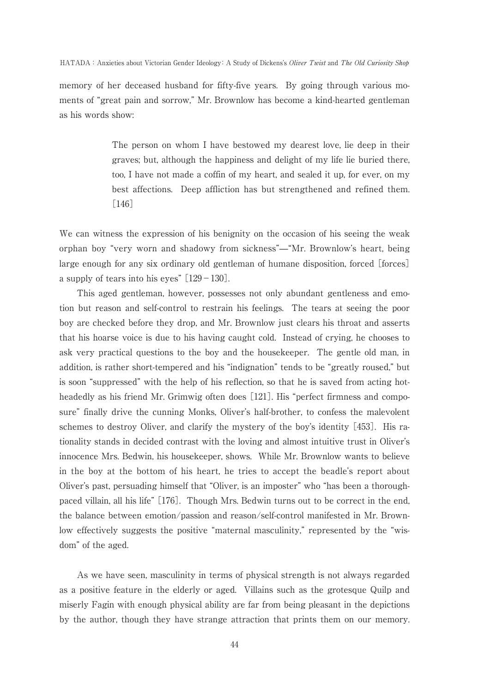#### HATADA: Anxieties about Victorian Gender Ideology: A Study of Dickens's Oliver Twist and The Old Curiosity Shop

memory of her deceased husband for fifty-five years. By going through various moments of "great pain and sorrow," Mr. Brownlow has become a kind-hearted gentleman as his words show:

> The person on whom I have bestowed my dearest love, lie deep in their graves; but, although the happiness and delight of my life lie buried there, too, I have not made a coffin of my heart, and sealed it up, for ever, on my best affections. Deep affliction has but strengthened and refined them. [146]

We can witness the expression of his benignity on the occasion of his seeing the weak orphan boy "very worn and shadowy from sickness"̶"Mr. Brownlow's heart, being large enough for any six ordinary old gentleman of humane disposition, forced [forces] a supply of tears into his eyes"  $[129-130]$ .

This aged gentleman, however, possesses not only abundant gentleness and emotion but reason and self-control to restrain his feelings. The tears at seeing the poor boy are checked before they drop, and Mr. Brownlow just clears his throat and asserts that his hoarse voice is due to his having caught cold. Instead of crying, he chooses to ask very practical questions to the boy and the housekeeper. The gentle old man, in addition, is rather short-tempered and his "indignation" tends to be "greatly roused," but is soon "suppressed" with the help of his reflection, so that he is saved from acting hotheadedly as his friend Mr. Grimwig often does [121]. His "perfect firmness and composure" finally drive the cunning Monks, Oliver's half-brother, to confess the malevolent schemes to destroy Oliver, and clarify the mystery of the boy's identity [453]. His rationality stands in decided contrast with the loving and almost intuitive trust in Oliver's innocence Mrs. Bedwin, his housekeeper, shows. While Mr. Brownlow wants to believe in the boy at the bottom of his heart, he tries to accept the beadle's report about Oliver's past, persuading himself that "Oliver, is an imposter" who "has been a thoroughpaced villain, all his life" [176]. Though Mrs. Bedwin turns out to be correct in the end, the balance between emotion/passion and reason/self-control manifested in Mr. Brownlow effectively suggests the positive "maternal masculinity," represented by the "wisdom" of the aged.

As we have seen, masculinity in terms of physical strength is not always regarded as a positive feature in the elderly or aged. Villains such as the grotesque Quilp and miserly Fagin with enough physical ability are far from being pleasant in the depictions by the author, though they have strange attraction that prints them on our memory.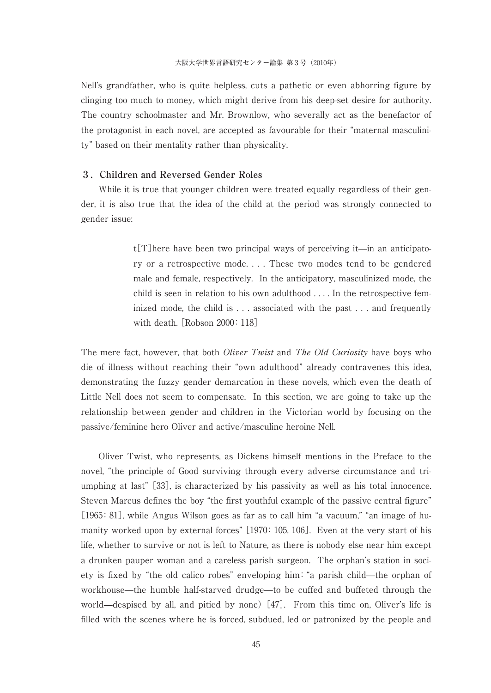Nell's grandfather, who is quite helpless, cuts a pathetic or even abhorring figure by clinging too much to money, which might derive from his deep-set desire for authority. The country schoolmaster and Mr. Brownlow, who severally act as the benefactor of the protagonist in each novel, are accepted as favourable for their "maternal masculinity" based on their mentality rather than physicality.

### **3.Children and Reversed Gender Roles**

While it is true that younger children were treated equally regardless of their gender, it is also true that the idea of the child at the period was strongly connected to gender issue:

> $t[T]$  here have been two principal ways of perceiving it—in an anticipatory or a retrospective mode. . . . These two modes tend to be gendered male and female, respectively. In the anticipatory, masculinized mode, the child is seen in relation to his own adulthood . . . . In the retrospective feminized mode, the child is . . . associated with the past . . . and frequently with death. [Robson 2000: 118]

The mere fact, however, that both *Oliver Twist* and *The Old Curiosity* have boys who die of illness without reaching their "own adulthood" already contravenes this idea, demonstrating the fuzzy gender demarcation in these novels, which even the death of Little Nell does not seem to compensate. In this section, we are going to take up the relationship between gender and children in the Victorian world by focusing on the passive/feminine hero Oliver and active/masculine heroine Nell.

Oliver Twist, who represents, as Dickens himself mentions in the Preface to the novel, "the principle of Good surviving through every adverse circumstance and triumphing at last" [33], is characterized by his passivity as well as his total innocence. Steven Marcus defines the boy "the first youthful example of the passive central figure" [1965: 81], while Angus Wilson goes as far as to call him "a vacuum," "an image of humanity worked upon by external forces" [1970:105, 106]. Even at the very start of his life, whether to survive or not is left to Nature, as there is nobody else near him except a drunken pauper woman and a careless parish surgeon. The orphan's station in society is fixed by "the old calico robes" enveloping him: "a parish child—the orphan of workhouse—the humble half-starved drudge—to be cuffed and buffeted through the world—despised by all, and pitied by none)  $[47]$ . From this time on, Oliver's life is filled with the scenes where he is forced, subdued, led or patronized by the people and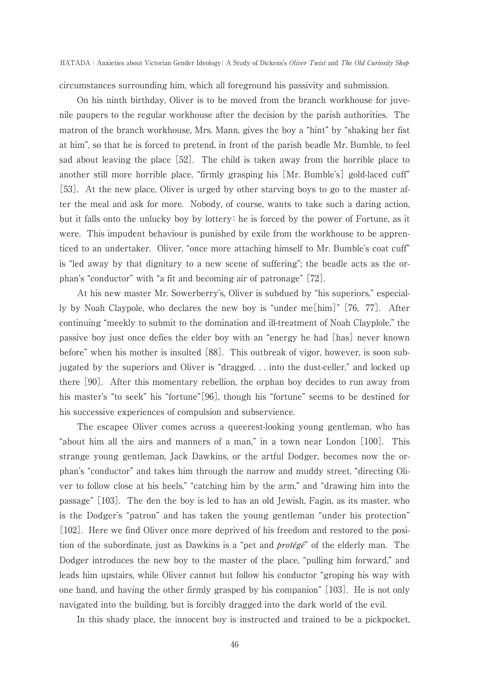circumstances surrounding him, which all foreground his passivity and submission.

On his ninth birthday, Oliver is to be moved from the branch workhouse for juvenile paupers to the regular workhouse after the decision by the parish authorities. The matron of the branch workhouse, Mrs. Mann, gives the boy a "hint" by "shaking her fist at him", so that he is forced to pretend, in front of the parish beadle Mr. Bumble, to feel sad about leaving the place [52]. The child is taken away from the horrible place to another still more horrible place, "firmly grasping his [Mr. Bumble's] gold-laced cuff" [53]. At the new place, Oliver is urged by other starving boys to go to the master after the meal and ask for more. Nobody, of course, wants to take such a daring action, but it falls onto the unlucky boy by lottery: he is forced by the power of Fortune, as it were. This impudent behaviour is punished by exile from the workhouse to be apprenticed to an undertaker. Oliver, "once more attaching himself to Mr. Bumble's coat cuff" is "led away by that dignitary to a new scene of suffering"; the beadle acts as the orphan's "conductor" with "a fit and becoming air of patronage" [72].

At his new master Mr. Sowerberry's, Oliver is subdued by "his superiors," especially by Noah Claypole, who declares the new boy is "under me[him]" [76,77]. After continuing "meekly to submit to the domination and ill-treatment of Noah Clayplole," the passive boy just once defies the elder boy with an "energy he had [has] never known before" when his mother is insulted [88]. This outbreak of vigor, however, is soon subjugated by the superiors and Oliver is "dragged. . . into the dust-celler," and locked up there [90]. After this momentary rebellion, the orphan boy decides to run away from his master's "to seek" his "fortune"[96], though his "fortune" seems to be destined for his successive experiences of compulsion and subservience.

The escapee Oliver comes across a queerest-looking young gentleman, who has "about him all the airs and manners of a man," in a town near London [100]. This strange young gentleman, Jack Dawkins, or the artful Dodger, becomes now the orphan's "conductor" and takes him through the narrow and muddy street, "directing Oliver to follow close at his heels," "catching him by the arm," and "drawing him into the passage" [103]. The den the boy is led to has an old Jewish, Fagin, as its master, who is the Dodger's "patron" and has taken the young gentleman "under his protection" [102]. Here we find Oliver once more deprived of his freedom and restored to the position of the subordinate, just as Dawkins is a "pet and *protégé*" of the elderly man. The Dodger introduces the new boy to the master of the place, "pulling him forward," and leads him upstairs, while Oliver cannot but follow his conductor "groping his way with one hand, and having the other firmly grasped by his companion"[103]. He is not only navigated into the building, but is forcibly dragged into the dark world of the evil.

In this shady place, the innocent boy is instructed and trained to be a pickpocket,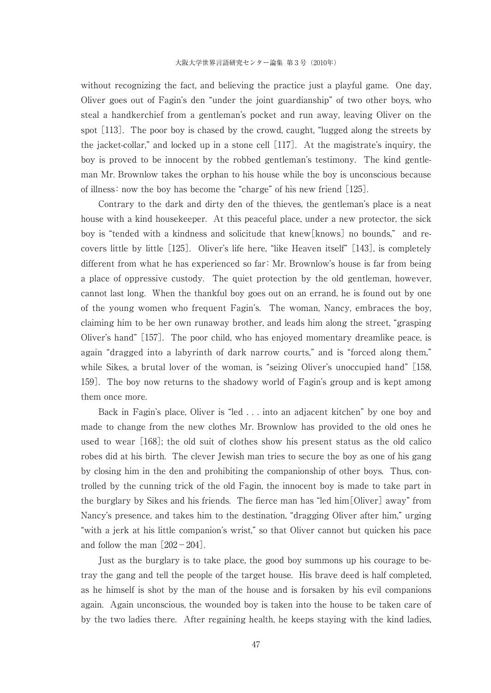without recognizing the fact, and believing the practice just a playful game. One day, Oliver goes out of Fagin's den "under the joint guardianship" of two other boys, who steal a handkerchief from a gentleman's pocket and run away, leaving Oliver on the spot [113]. The poor boy is chased by the crowd, caught, "lugged along the streets by the jacket-collar," and locked up in a stone cell [117]. At the magistrate's inquiry, the boy is proved to be innocent by the robbed gentleman's testimony. The kind gentleman Mr. Brownlow takes the orphan to his house while the boy is unconscious because of illness: now the boy has become the "charge" of his new friend [125].

Contrary to the dark and dirty den of the thieves, the gentleman's place is a neat house with a kind housekeeper. At this peaceful place, under a new protector, the sick boy is "tended with a kindness and solicitude that knew[knows] no bounds," and recovers little by little [125]. Oliver's life here, "like Heaven itself" [143], is completely different from what he has experienced so far:Mr. Brownlow's house is far from being a place of oppressive custody. The quiet protection by the old gentleman, however, cannot last long. When the thankful boy goes out on an errand, he is found out by one of the young women who frequent Fagin's. The woman, Nancy, embraces the boy, claiming him to be her own runaway brother, and leads him along the street, "grasping Oliver's hand" [157]. The poor child, who has enjoyed momentary dreamlike peace, is again "dragged into a labyrinth of dark narrow courts," and is "forced along them," while Sikes, a brutal lover of the woman, is "seizing Oliver's unoccupied hand" [158, 159]. The boy now returns to the shadowy world of Fagin's group and is kept among them once more.

Back in Fagin's place, Oliver is "led . . . into an adjacent kitchen" by one boy and made to change from the new clothes Mr. Brownlow has provided to the old ones he used to wear [168]; the old suit of clothes show his present status as the old calico robes did at his birth. The clever Jewish man tries to secure the boy as one of his gang by closing him in the den and prohibiting the companionship of other boys. Thus, controlled by the cunning trick of the old Fagin, the innocent boy is made to take part in the burglary by Sikes and his friends. The fierce man has "led him[Oliver] away" from Nancy's presence, and takes him to the destination, "dragging Oliver after him," urging "with a jerk at his little companion's wrist," so that Oliver cannot but quicken his pace and follow the man  $[202-204]$ .

Just as the burglary is to take place, the good boy summons up his courage to betray the gang and tell the people of the target house. His brave deed is half completed, as he himself is shot by the man of the house and is forsaken by his evil companions again. Again unconscious, the wounded boy is taken into the house to be taken care of by the two ladies there. After regaining health, he keeps staying with the kind ladies,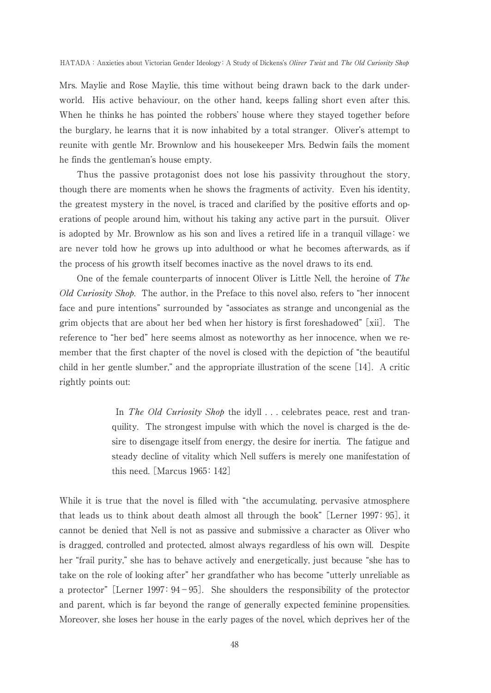Mrs. Maylie and Rose Maylie, this time without being drawn back to the dark underworld. His active behaviour, on the other hand, keeps falling short even after this. When he thinks he has pointed the robbers' house where they stayed together before the burglary, he learns that it is now inhabited by a total stranger. Oliver's attempt to reunite with gentle Mr. Brownlow and his housekeeper Mrs. Bedwin fails the moment he finds the gentleman's house empty.

Thus the passive protagonist does not lose his passivity throughout the story, though there are moments when he shows the fragments of activity. Even his identity, the greatest mystery in the novel, is traced and clarified by the positive efforts and operations of people around him, without his taking any active part in the pursuit. Oliver is adopted by Mr. Brownlow as his son and lives a retired life in a tranquil village: we are never told how he grows up into adulthood or what he becomes afterwards, as if the process of his growth itself becomes inactive as the novel draws to its end.

One of the female counterparts of innocent Oliver is Little Nell, the heroine of The Old Curiosity Shop. The author, in the Preface to this novel also, refers to "her innocent face and pure intentions" surrounded by "associates as strange and uncongenial as the grim objects that are about her bed when her history is first foreshadowed" [xii]. The reference to "her bed" here seems almost as noteworthy as her innocence, when we remember that the first chapter of the novel is closed with the depiction of "the beautiful child in her gentle slumber," and the appropriate illustration of the scene [14]. A critic rightly points out:

> In *The Old Curiosity Shop* the idyll . . . celebrates peace, rest and tranquility. The strongest impulse with which the novel is charged is the desire to disengage itself from energy, the desire for inertia. The fatigue and steady decline of vitality which Nell suffers is merely one manifestation of this need. [Marcus 1965:142]

While it is true that the novel is filled with "the accumulating, pervasive atmosphere that leads us to think about death almost all through the book"[Lerner 1997:95], it cannot be denied that Nell is not as passive and submissive a character as Oliver who is dragged, controlled and protected, almost always regardless of his own will. Despite her "frail purity," she has to behave actively and energetically, just because "she has to take on the role of looking after" her grandfather who has become "utterly unreliable as a protector" [Lerner 1997:  $94-95$ ]. She shoulders the responsibility of the protector and parent, which is far beyond the range of generally expected feminine propensities. Moreover, she loses her house in the early pages of the novel, which deprives her of the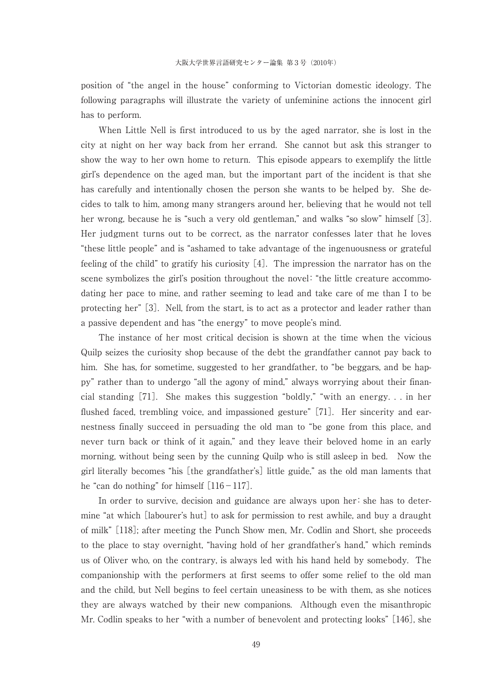position of "the angel in the house" conforming to Victorian domestic ideology. The following paragraphs will illustrate the variety of unfeminine actions the innocent girl has to perform.

When Little Nell is first introduced to us by the aged narrator, she is lost in the city at night on her way back from her errand. She cannot but ask this stranger to show the way to her own home to return. This episode appears to exemplify the little girl's dependence on the aged man, but the important part of the incident is that she has carefully and intentionally chosen the person she wants to be helped by. She decides to talk to him, among many strangers around her, believing that he would not tell her wrong, because he is "such a very old gentleman," and walks "so slow" himself [3]. Her judgment turns out to be correct, as the narrator confesses later that he loves "these little people" and is "ashamed to take advantage of the ingenuousness or grateful feeling of the child" to gratify his curiosity [4]. The impression the narrator has on the scene symbolizes the girl's position throughout the novel: "the little creature accommodating her pace to mine, and rather seeming to lead and take care of me than I to be protecting her" [3]. Nell, from the start, is to act as a protector and leader rather than a passive dependent and has "the energy" to move people's mind.

The instance of her most critical decision is shown at the time when the vicious Quilp seizes the curiosity shop because of the debt the grandfather cannot pay back to him. She has, for sometime, suggested to her grandfather, to "be beggars, and be happy" rather than to undergo "all the agony of mind," always worrying about their financial standing [71]. She makes this suggestion "boldly," "with an energy. . . in her flushed faced, trembling voice, and impassioned gesture" [71]. Her sincerity and earnestness finally succeed in persuading the old man to "be gone from this place, and never turn back or think of it again," and they leave their beloved home in an early morning, without being seen by the cunning Quilp who is still asleep in bed. Now the girl literally becomes "his [the grandfather's] little guide," as the old man laments that he "can do nothing" for himself  $[116-117]$ .

In order to survive, decision and guidance are always upon her: she has to determine "at which [labourer's hut] to ask for permission to rest awhile, and buy a draught of milk" [118]; after meeting the Punch Show men, Mr. Codlin and Short, she proceeds to the place to stay overnight, "having hold of her grandfather's hand," which reminds us of Oliver who, on the contrary, is always led with his hand held by somebody. The companionship with the performers at first seems to offer some relief to the old man and the child, but Nell begins to feel certain uneasiness to be with them, as she notices they are always watched by their new companions. Although even the misanthropic Mr. Codlin speaks to her "with a number of benevolent and protecting looks" [146], she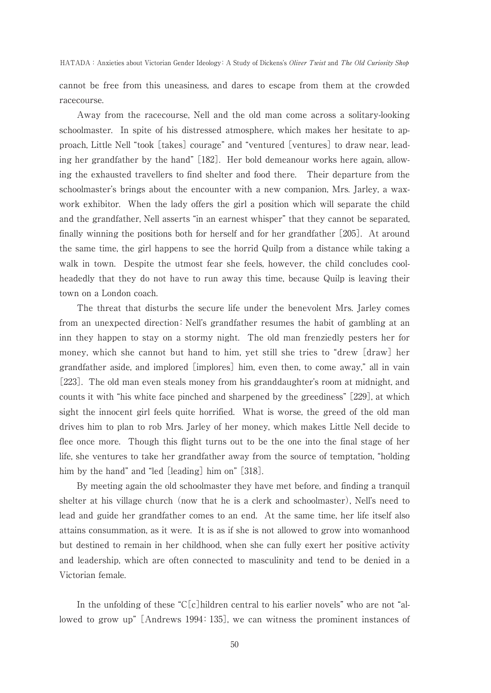HATADA: Anxieties about Victorian Gender Ideology: A Study of Dickens's Oliver Twist and The Old Curiosity Shop

cannot be free from this uneasiness, and dares to escape from them at the crowded racecourse.

Away from the racecourse, Nell and the old man come across a solitary-looking schoolmaster. In spite of his distressed atmosphere, which makes her hesitate to approach, Little Nell "took [takes] courage" and "ventured [ventures] to draw near, leading her grandfather by the hand" [182]. Her bold demeanour works here again, allowing the exhausted travellers to find shelter and food there. Their departure from the schoolmaster's brings about the encounter with a new companion, Mrs. Jarley, a waxwork exhibitor. When the lady offers the girl a position which will separate the child and the grandfather, Nell asserts "in an earnest whisper" that they cannot be separated, finally winning the positions both for herself and for her grandfather [205]. At around the same time, the girl happens to see the horrid Quilp from a distance while taking a walk in town. Despite the utmost fear she feels, however, the child concludes coolheadedly that they do not have to run away this time, because Quilp is leaving their town on a London coach.

The threat that disturbs the secure life under the benevolent Mrs. Jarley comes from an unexpected direction: Nell's grandfather resumes the habit of gambling at an inn they happen to stay on a stormy night. The old man frenziedly pesters her for money, which she cannot but hand to him, yet still she tries to "drew [draw] her grandfather aside, and implored [implores] him, even then, to come away," all in vain [223]. The old man even steals money from his granddaughter's room at midnight, and counts it with "his white face pinched and sharpened by the greediness" [229], at which sight the innocent girl feels quite horrified. What is worse, the greed of the old man drives him to plan to rob Mrs. Jarley of her money, which makes Little Nell decide to flee once more. Though this flight turns out to be the one into the final stage of her life, she ventures to take her grandfather away from the source of temptation, "holding him by the hand" and "led [leading] him on" [318].

By meeting again the old schoolmaster they have met before, and finding a tranquil shelter at his village church (now that he is a clerk and schoolmaster), Nell's need to lead and guide her grandfather comes to an end. At the same time, her life itself also attains consummation, as it were. It is as if she is not allowed to grow into womanhood but destined to remain in her childhood, when she can fully exert her positive activity and leadership, which are often connected to masculinity and tend to be denied in a Victorian female.

In the unfolding of these "C[c]hildren central to his earlier novels" who are not "allowed to grow up" [Andrews 1994:135], we can witness the prominent instances of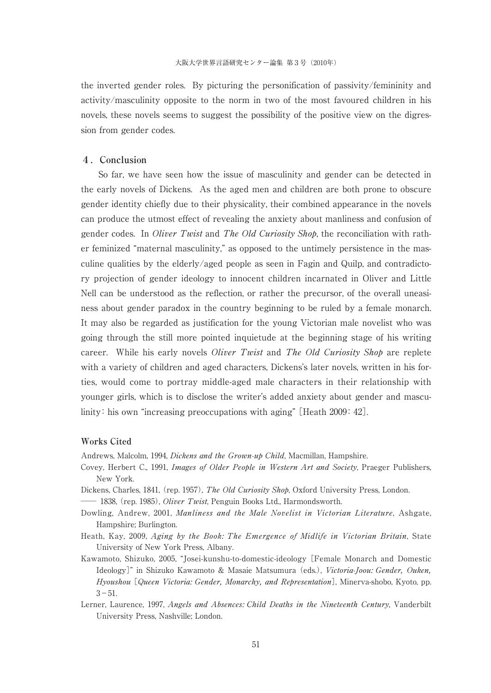the inverted gender roles. By picturing the personification of passivity/femininity and activity/masculinity opposite to the norm in two of the most favoured children in his novels, these novels seems to suggest the possibility of the positive view on the digression from gender codes.

#### **4.Conclusion**

So far, we have seen how the issue of masculinity and gender can be detected in the early novels of Dickens. As the aged men and children are both prone to obscure gender identity chiefly due to their physicality, their combined appearance in the novels can produce the utmost effect of revealing the anxiety about manliness and confusion of gender codes. In Oliver Twist and The Old Curiosity Shop, the reconciliation with rather feminized "maternal masculinity," as opposed to the untimely persistence in the masculine qualities by the elderly/aged people as seen in Fagin and Quilp, and contradictory projection of gender ideology to innocent children incarnated in Oliver and Little Nell can be understood as the reflection, or rather the precursor, of the overall uneasiness about gender paradox in the country beginning to be ruled by a female monarch. It may also be regarded as justification for the young Victorian male novelist who was going through the still more pointed inquietude at the beginning stage of his writing career. While his early novels *Oliver Twist* and *The Old Curiosity Shop* are replete with a variety of children and aged characters, Dickens's later novels, written in his forties, would come to portray middle-aged male characters in their relationship with younger girls, which is to disclose the writer's added anxiety about gender and masculinity: his own "increasing preoccupations with aging" [Heath 2009: 42].

#### **Works Cited**

Andrews, Malcolm, 1994, Dickens and the Grown-up Child, Macmillan, Hampshire.

- Covey, Herbert C., 1991, Images of Older People in Western Art and Society, Praeger Publishers, New York.
- Dickens, Charles, 1841, (rep. 1957), The Old Curiosity Shop, Oxford University Press, London.

<sup>1838</sup>, (rep. 1985), *Oliver Twist*, Penguin Books Ltd., Harmondsworth.

- Dowling, Andrew, 2001, Manliness and the Male Novelist in Victorian Literature, Ashgate, Hampshire; Burlington.
- Heath, Kay, 2009, Aging by the Book: The Emergence of Midlife in Victorian Britain, State University of New York Press, Albany.
- Kawamoto, Shizuko, 2005, "Josei-kunshu-to-domestic-ideology [Female Monarch and Domestic Ideology]" in Shizuko Kawamoto & Masaie Matsumura (eds.), Victoria-Joou: Gender, Ouken, Hyoushou [Queen Victoria: Gender, Monarchy, and Representation], Minerva-shobo, Kyoto, pp.  $3 - 51$ .
- Lerner, Laurence, 1997, Angels and Absences: Child Deaths in the Nineteenth Century, Vanderbilt University Press, Nashville; London.